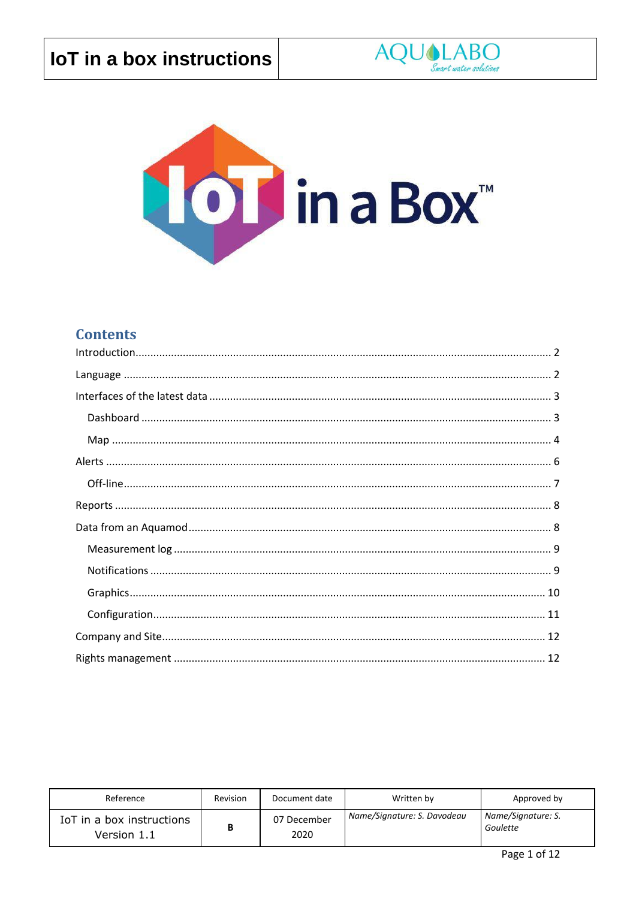



### **Contents**

| Reference                                | Revision | Document date       | Written by                  | Approved by                    |
|------------------------------------------|----------|---------------------|-----------------------------|--------------------------------|
| IoT in a box instructions<br>Version 1.1 | В        | 07 December<br>2020 | Name/Signature: S. Davodeau | Name/Signature: S.<br>Goulette |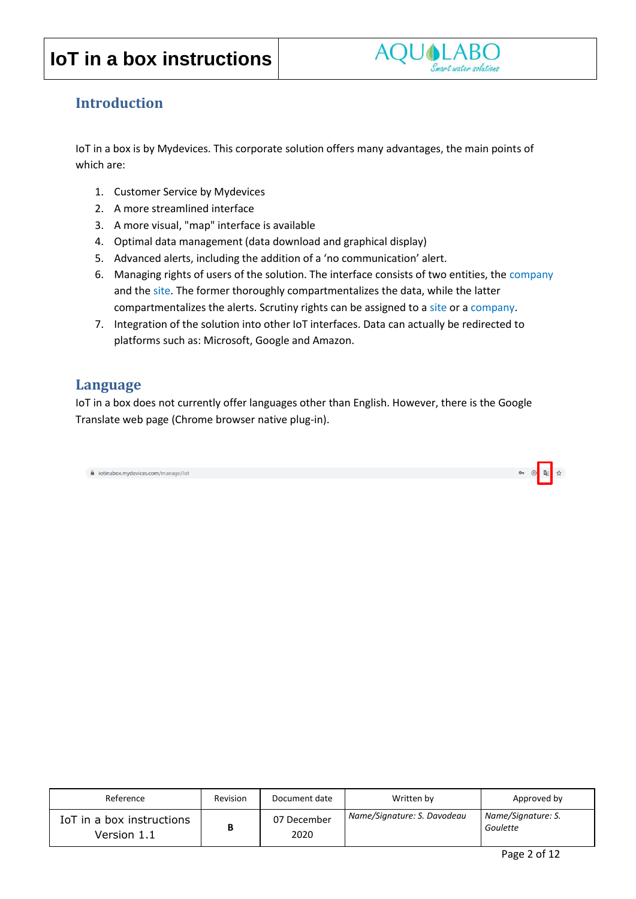

#### <span id="page-1-0"></span>**Introduction**

IoT in a box is by Mydevices. This corporate solution offers many advantages, the main points of which are:

- 1. Customer Service by Mydevices
- 2. A more streamlined interface
- 3. A more visual, "map" interface is available
- 4. Optimal data management (data download and graphical display)
- 5. Advanced alerts, including the addition of a 'no communication' alert.
- 6. Managing rights of users of the solution. The interface consists of two entities, the company and the site. The former thoroughly compartmentalizes the data, while the latter compartmentalizes the alerts. Scrutiny rights can be assigned to a site or a company.
- 7. Integration of the solution into other IoT interfaces. Data can actually be redirected to platforms such as: Microsoft, Google and Amazon.

#### <span id="page-1-1"></span>**Language**

IoT in a box does not currently offer languages other than English. However, there is the Google Translate web page (Chrome browser native plug-in).

i iotinabox.mydevices.com/manage/list

| Reference                                | Revision | Document date       | Written by                  | Approved by                    |
|------------------------------------------|----------|---------------------|-----------------------------|--------------------------------|
| IoT in a box instructions<br>Version 1.1 | В        | 07 December<br>2020 | Name/Signature: S. Davodeau | Name/Signature: S.<br>Goulette |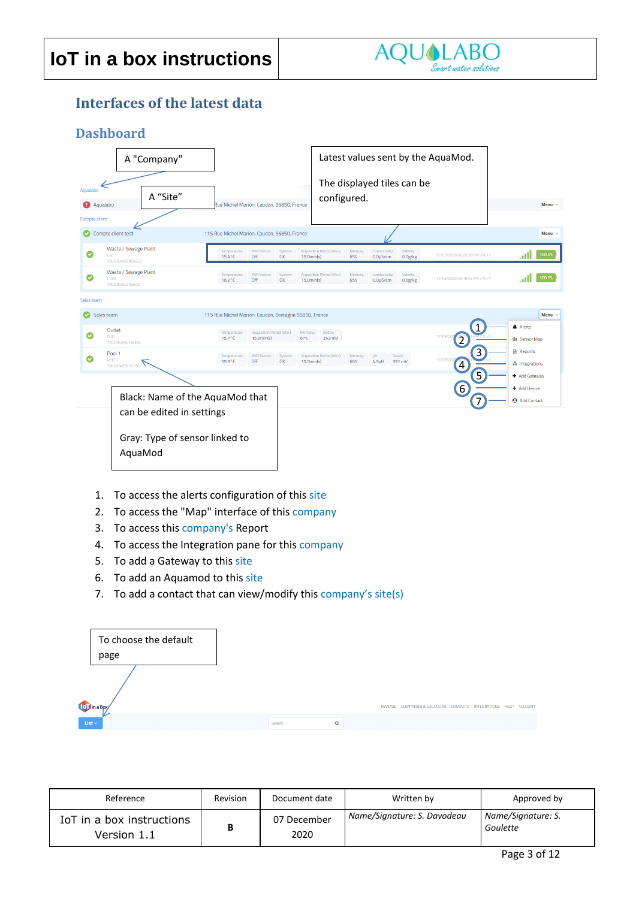

### <span id="page-2-0"></span>**Interfaces of the latest data**

#### <span id="page-2-1"></span>**Dashboard**

|                      | A "Company"                                      |                                                                                 |                                | Latest values sent by the AquaMod.           |                                |                      |                                     |                                    |             |
|----------------------|--------------------------------------------------|---------------------------------------------------------------------------------|--------------------------------|----------------------------------------------|--------------------------------|----------------------|-------------------------------------|------------------------------------|-------------|
| Aqualabo<br>Aqualabo | A "Site"                                         | Rue Michel Marion, Caudan, 56850, France                                        |                                | The displayed tiles can be<br>configured.    |                                |                      |                                     |                                    | Menu $\vee$ |
| Compte client        | Compte client test                               | 115 Rue Michel Marion, Caudan, 56850, France                                    |                                |                                              |                                |                      |                                     |                                    | Menu $\vee$ |
| Ø                    | Waste / Sewage Plant<br>C4E<br>70b3d549928666e2  | WiFi Status:<br>Temperature:<br>$15.4^{\circ}$ C<br>Off                         | System:<br>OK<br>$15.0$ min(s) | Acquisition Period (Min.)<br>Memory:<br>65%  | Conductivity.<br>0.0µS/cm      | Salinity:<br>0.0g/kg | 12/03/2020 06:20:38 PM UTC+1        | .ull                               | 100.0%      |
|                      | Waste / Sewage Plant<br>CTZN<br>70b3d54992f56eb2 | Temperature:<br>WiFi Status:<br>$16.2^{\circ}$ C<br>Off                         | System:<br>OK<br>$15.0$ min(s) | Acquisition Period (Min.):<br>Memory:<br>65% | Conductivity:<br>$0.0\mu$ S/cm | Salinity:<br>0.0g/kg | 12/03/2020 06:18:45 PM UTC+1        | . nl                               | 100.0%      |
| Sales team           |                                                  |                                                                                 |                                |                                              |                                |                      |                                     |                                    |             |
|                      | Sales team                                       | 115 Rue Michel Marion, Caudan, Bretagne 56850, France                           |                                |                                              |                                |                      |                                     | A Alerts                           | Menu $\vee$ |
| Ø                    | Outlet<br>ORP<br>70b3d5499d16c23c                | Acquisition Period (Min.):<br>Temperature:<br>$15.7^{\circ}$ C<br>$15.0$ min(s) | Memory:<br>67%                 | Redox:<br>243 mV                             |                                |                      | $\mathbf{1}$<br>12/03/20<br>2       | 由 Sensor Map                       |             |
| $\bullet$            | Pool 1<br>PHEHT<br>70b3d5499b3619fa              | WiFi Status:<br>Temperature:<br>Off<br>59.9°F                                   | System:<br>OK<br>$15.0$ min(s) | Acquisition Period (Min.):<br>Memory:<br>66% | pH:<br>4.5pH                   | Redox:<br>391 mV     | 3<br>12/03/202<br>$\left( 4\right)$ | <b>B</b> Reports<br>& Integrations |             |
|                      |                                                  |                                                                                 |                                |                                              |                                |                      | 5                                   | + Add Gateway<br>+ Add Device      |             |
|                      |                                                  | Black: Name of the AquaMod that                                                 |                                |                                              |                                |                      | $\bullet$<br>$\overline{7}$         | <b>Add Contact</b>                 |             |
|                      | can be edited in settings                        |                                                                                 |                                |                                              |                                |                      |                                     |                                    |             |
|                      | Gray: Type of sensor linked to<br>AquaMod        |                                                                                 |                                |                                              |                                |                      |                                     |                                    |             |

- 1. To access the alerts configuration of this site
- 2. To access the "Map" interface of this company
- 3. To access this company's Report
- 4. To access the Integration pane for this company
- 5. To add a Gateway to this site
- 6. To add an Aquamod to this site
- 7. To add a contact that can view/modify this  $company's site(s)$

|             | To choose the default<br>page |        |   |                                                         |  |         |
|-------------|-------------------------------|--------|---|---------------------------------------------------------|--|---------|
|             | <b>OD</b> in a Boxy           |        |   | MANAGE COMPANIES & LOCATIONS CONTACTS INTEGRATIONS HELP |  | ACCOUNT |
| List $\sim$ |                               | Search | Q |                                                         |  |         |

| Reference                                | Revision | Document date       | Written by                  | Approved by                    |
|------------------------------------------|----------|---------------------|-----------------------------|--------------------------------|
| IoT in a box instructions<br>Version 1.1 |          | 07 December<br>2020 | Name/Signature: S. Davodeau | Name/Signature: S.<br>Goulette |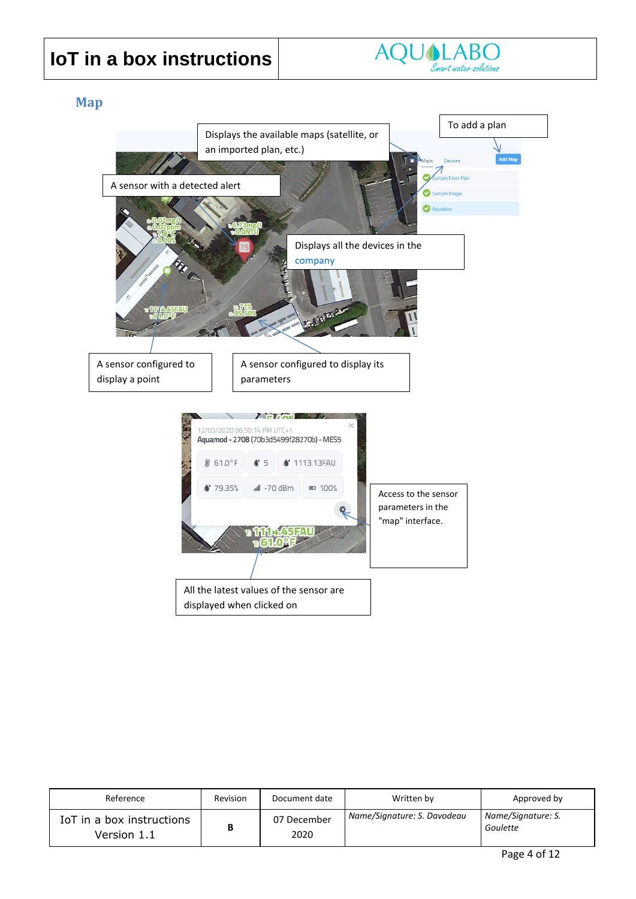

#### <span id="page-3-0"></span>**Map**



| Reference                                | Revision | Document date       | Written by                  | Approved by                    |
|------------------------------------------|----------|---------------------|-----------------------------|--------------------------------|
| IoT in a box instructions<br>Version 1.1 | B        | 07 December<br>2020 | Name/Signature: S. Davodeau | Name/Signature: S.<br>Goulette |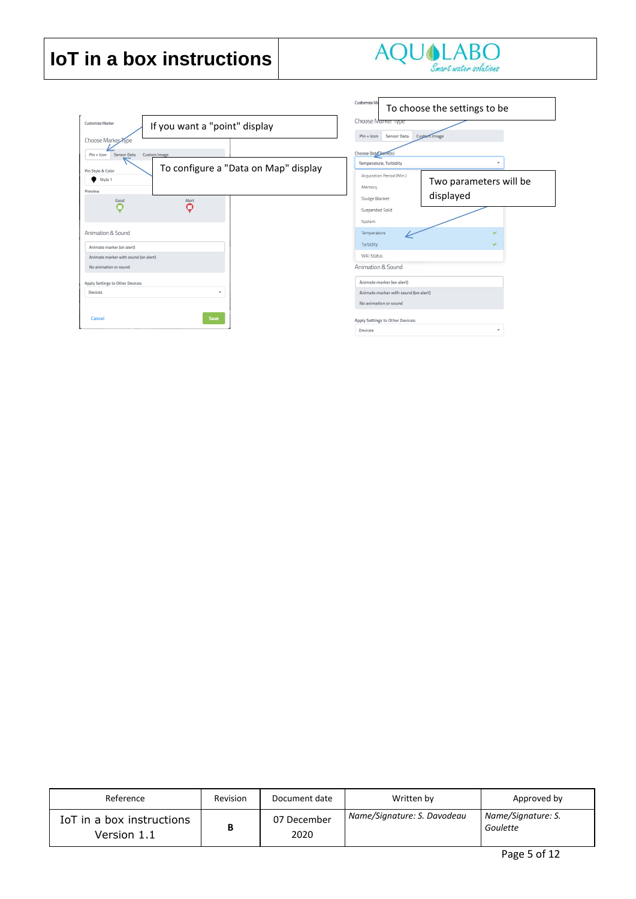

|                                                                   |                                      | Customize Ma                                                         | To choose the settings to be        |
|-------------------------------------------------------------------|--------------------------------------|----------------------------------------------------------------------|-------------------------------------|
| Customize Marker<br>If you want a "point" display                 |                                      | Choose Marker Type<br>Sensor Data<br>$Pin + Icon$                    | Custom Image                        |
| Choose Marker Type<br>Sensor Data<br>Custom Image<br>$Pin + lcm$  | To configure a "Data on Map" display | Choose Data Point(s)<br>Temperature, Turbidity                       |                                     |
| Pin Style & Color<br>Style 1<br>Preview<br>Alert<br>Good          |                                      | Acquisition Period (Min.)<br>Memory<br>Sludge Blanket                | Two parameters will be<br>displayed |
| റ<br>Animation & Sound                                            |                                      | Suspended Solid<br>System                                            |                                     |
| Animate marker (on alert)<br>Animate marker with sound (on alert) |                                      | Temperature<br>Turbidity<br>WiFi Status                              | v<br>◡                              |
| No animation or sound                                             |                                      | Animation & Sound                                                    |                                     |
| Apply Settings to Other Devices:<br><b>Devices</b><br>÷           |                                      | Animate marker (on alert)<br>Animate marker with sound (on alert)    |                                     |
| Save<br>Cancel                                                    |                                      | No animation or sound<br>Apply Settings to Other Devices:<br>Dovices |                                     |

| Reference                                | Revision | Document date       | Written by                  | Approved by                    |
|------------------------------------------|----------|---------------------|-----------------------------|--------------------------------|
| IoT in a box instructions<br>Version 1.1 | B        | 07 December<br>2020 | Name/Signature: S. Davodeau | Name/Signature: S.<br>Goulette |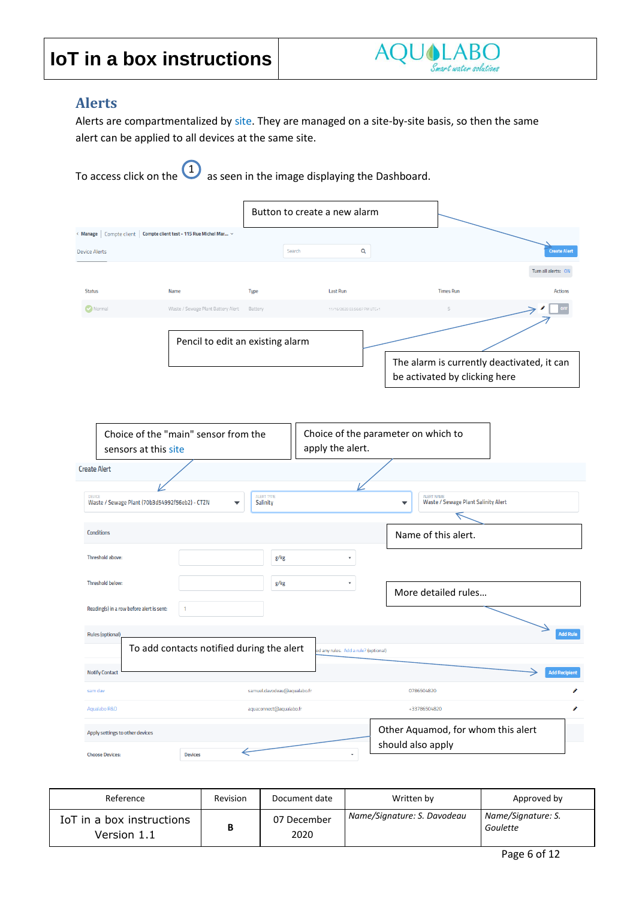

#### <span id="page-5-0"></span>**Alerts**

Alerts are compartmentalized by site. They are managed on a site-by-site basis, so then the same alert can be applied to all devices at the same site.

| To access click on the $\bigcup_{n=1}^{\infty}$ as seen in the image displaying the Dashboard.       |                                                          |                              |                                      |                   |                                                                             |                      |                 |  |  |  |
|------------------------------------------------------------------------------------------------------|----------------------------------------------------------|------------------------------|--------------------------------------|-------------------|-----------------------------------------------------------------------------|----------------------|-----------------|--|--|--|
|                                                                                                      |                                                          | Button to create a new alarm |                                      |                   |                                                                             |                      |                 |  |  |  |
| Compte client<br>< Manage                                                                            | Compte client test - 115 Rue Michel Mar ~                |                              |                                      |                   |                                                                             |                      |                 |  |  |  |
| <b>Device Alerts</b>                                                                                 |                                                          | Search                       | Q                                    |                   |                                                                             | <b>Create Alert</b>  |                 |  |  |  |
|                                                                                                      |                                                          |                              |                                      |                   |                                                                             | Turn all alerts: ON  |                 |  |  |  |
| <b>Status</b><br>Name                                                                                | Type                                                     |                              | <b>Last Run</b>                      |                   | <b>Times Run</b>                                                            | <b>Actions</b>       |                 |  |  |  |
| O Normal                                                                                             | Waste / Sewage Plant Battery Alert<br>Battery            |                              | 11/16/2020 03:56:07 PM UTC+1         |                   | 5                                                                           |                      |                 |  |  |  |
|                                                                                                      | Pencil to edit an existing alarm                         |                              |                                      |                   |                                                                             |                      |                 |  |  |  |
|                                                                                                      |                                                          |                              |                                      |                   | The alarm is currently deactivated, it can<br>be activated by clicking here |                      |                 |  |  |  |
| Choice of the "main" sensor from the<br>sensors at this site<br><b>Create Alert</b><br><b>DEVICE</b> | Choice of the parameter on which to<br><b>ALERT NAME</b> |                              |                                      |                   |                                                                             |                      |                 |  |  |  |
| Waste / Sewage Plant (70b3d54992f56eb2) - CTZN                                                       |                                                          | Salinity                     |                                      | ▼                 | <b>Waste / Sewage Plant Salinity Alert</b>                                  |                      |                 |  |  |  |
| <b>Conditions</b>                                                                                    |                                                          |                              |                                      |                   | Name of this alert.                                                         |                      |                 |  |  |  |
| Threshold above:                                                                                     |                                                          | g/kg                         |                                      |                   |                                                                             |                      |                 |  |  |  |
| Threshold below:                                                                                     |                                                          | g/kg                         |                                      |                   | More detailed rules                                                         |                      |                 |  |  |  |
| Reading(s) in a row before alert is sent:                                                            | 1                                                        |                              |                                      |                   |                                                                             |                      |                 |  |  |  |
| <b>Rules (optional)</b><br><b>Notify Contact</b>                                                     | To add contacts notified during the alert                |                              | ed any rules. Add a rule? (optional) |                   |                                                                             | <b>Add Recipient</b> | <b>Add Rule</b> |  |  |  |
| sam dav                                                                                              |                                                          | samuel.davodeau@aqualabo.fr  |                                      |                   | 0786504820                                                                  |                      | o               |  |  |  |
| Aqualabo R&D                                                                                         |                                                          | aquaconnect@aqualabo.fr      |                                      |                   | +33786504820                                                                |                      | o               |  |  |  |
| Apply settings to other devices<br><b>Choose Devices:</b>                                            | $\leftarrow$<br><b>Devices</b>                           |                              | ۰                                    | should also apply | Other Aquamod, for whom this alert                                          |                      |                 |  |  |  |

| Reference                                | Revision | Document date       | Written by                  | Approved by                    |
|------------------------------------------|----------|---------------------|-----------------------------|--------------------------------|
| IoT in a box instructions<br>Version 1.1 |          | 07 December<br>2020 | Name/Signature: S. Davodeau | Name/Signature: S.<br>Goulette |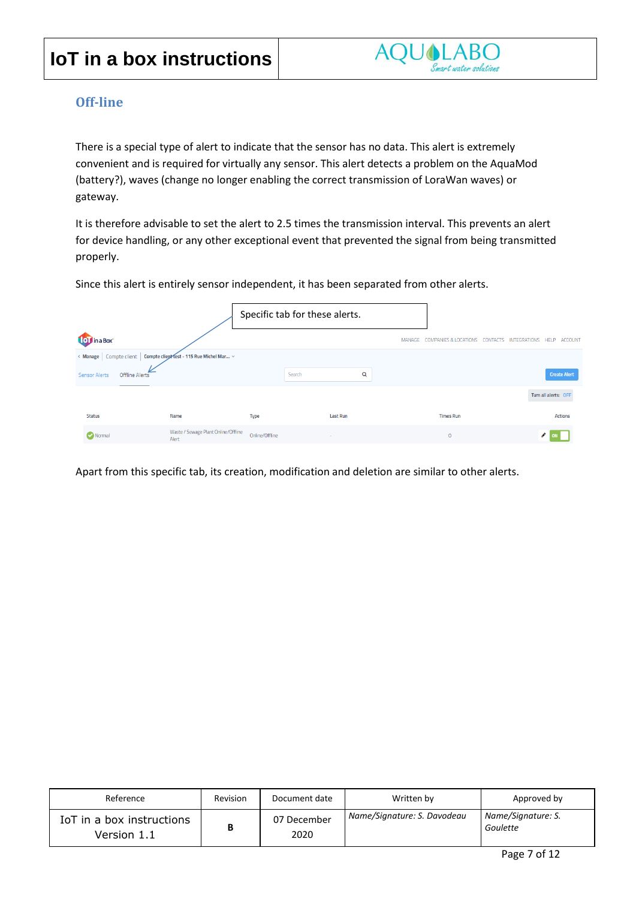

#### <span id="page-6-0"></span>**Off-line**

There is a special type of alert to indicate that the sensor has no data. This alert is extremely convenient and is required for virtually any sensor. This alert detects a problem on the AquaMod (battery?), waves (change no longer enabling the correct transmission of LoraWan waves) or gateway.

It is therefore advisable to set the alert to 2.5 times the transmission interval. This prevents an alert for device handling, or any other exceptional event that prevented the signal from being transmitted properly.

Since this alert is entirely sensor independent, it has been separated from other alerts.

|                      |                                                                      |                | Specific tab for these alerts. |        |                       |                                 |                      |                     |
|----------------------|----------------------------------------------------------------------|----------------|--------------------------------|--------|-----------------------|---------------------------------|----------------------|---------------------|
| <b>To T</b> in a Box |                                                                      |                |                                | MANAGE | COMPANIES & LOCATIONS | CONTACTS<br><b>INTEGRATIONS</b> | <b>HELP</b>          | <b>ACCOUNT</b>      |
|                      | < Manage   Compte client   Compte client Vest - 115 Rue Michel Mar v |                |                                |        |                       |                                 |                      |                     |
| <b>Sensor Alerts</b> | Offline Alerts                                                       |                | Search                         | Q      |                       |                                 |                      | <b>Create Alert</b> |
|                      |                                                                      |                |                                |        |                       |                                 | Turn all alerts: OFF |                     |
| <b>Status</b>        | Name                                                                 | Type           | <b>Last Run</b>                |        | <b>Times Run</b>      |                                 |                      | <b>Actions</b>      |
| Normal               | Waste / Sewage Plant Online/Offline<br>Alert                         | Online/Offline | ۰                              |        | $\mathbf{0}$          |                                 | I                    |                     |

Apart from this specific tab, its creation, modification and deletion are similar to other alerts.

| Reference                                | Revision | Document date       | Written by                  | Approved by                    |
|------------------------------------------|----------|---------------------|-----------------------------|--------------------------------|
| IoT in a box instructions<br>Version 1.1 | B        | 07 December<br>2020 | Name/Signature: S. Davodeau | Name/Signature: S.<br>Goulette |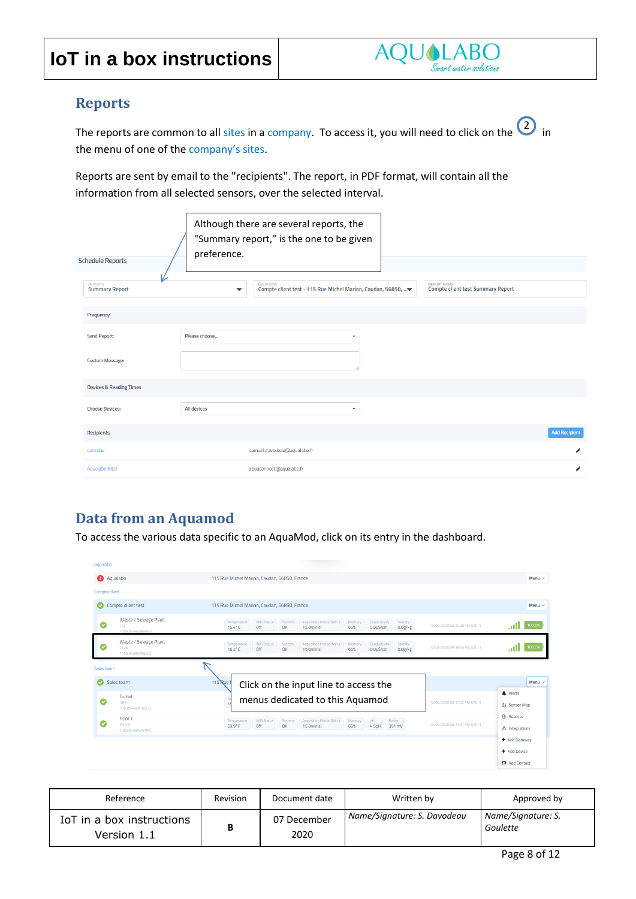#### <span id="page-7-0"></span>**Reports**

The reports are common to all sites in a company. To access it, you will need to click on the  $\overline{\text{2}}$  in the menu of one of the company's sites.

Reports are sent by email to the "recipients". The report, in PDF format, will contain all the information from all selected sensors, over the selected interval.

| <b>Schedule Reports</b>                      | Although there are several reports, the<br>"Summary report," is the one to be given<br>preference.                                                    |                      |
|----------------------------------------------|-------------------------------------------------------------------------------------------------------------------------------------------------------|----------------------|
| ↙<br><b>REPORTS</b><br><b>Summary Report</b> | <b>REPORT NAME</b><br><b>LOCATIONS</b><br><b>Compte client test Summary Report</b><br>Compte client test - 115 Rue Michel Marion, Caudan, 56850,<br>▼ |                      |
| Frequency                                    |                                                                                                                                                       |                      |
| <b>Send Report:</b>                          | Please choose<br>۰                                                                                                                                    |                      |
| <b>Custom Message:</b>                       |                                                                                                                                                       |                      |
| <b>Devices &amp; Reading Times</b>           |                                                                                                                                                       |                      |
| <b>Choose Devices:</b>                       | All devices<br>۰                                                                                                                                      |                      |
| Recipients                                   |                                                                                                                                                       | <b>Add Recipient</b> |
| sam day                                      | samuel.davodeau@aqualabo.fr                                                                                                                           | ℐ                    |
| Agualabo R&D                                 | aquaconnect@aqualabo.fr                                                                                                                               | o                    |

#### <span id="page-7-1"></span>**Data from an Aquamod**

To access the various data specific to an AquaMod, click on its entry in the dashboard.

| Aqualabo          |                                                         |                                                                                                                                                                                                                                     |                                    |
|-------------------|---------------------------------------------------------|-------------------------------------------------------------------------------------------------------------------------------------------------------------------------------------------------------------------------------------|------------------------------------|
| <b>A</b> Aqualabo |                                                         | 115 Rue Michel Marion, Caudan, 56850, France                                                                                                                                                                                        | Menu $\sim$                        |
| Compte client     |                                                         |                                                                                                                                                                                                                                     |                                    |
| $\bullet$         | Compte client test                                      | 115 Rue Michel Marion, Caudan, 56850, France                                                                                                                                                                                        | Menu $\vee$                        |
| Ø                 | Waste / Sewage Plant<br>C4E<br>70b3d569928666e2         | WiFi Status:<br>Acquisition Period (Min.):<br>System:<br>Memory:<br>Conductivity:<br>Salinity:<br>Temperature:<br>12/03/2020 06:20:38 PM UTC+1<br>$15.4^{\circ}$ C<br>Off<br>OK<br>15.0min(s)<br>65%<br>0.0uS/cm<br>0.0g/kg         | 100.0%<br>.nl                      |
| Ø                 | Waste / Sewage Plant<br><b>CTZN</b><br>70b3d54992f56eb2 | WiFi Status:<br>System<br>Acquisition Period (Min.):<br>Salinity:<br>Temperature:<br>Memory:<br>Conductivity:<br>12/03/2020 06:18:45 PM UTC+1<br>Off<br>$16.2^{\circ}$ C<br>OK<br>$15.0$ min(s)<br>65%<br>$0.0$ u $S/cm$<br>0.0g/kg | 100.0%<br>.ull                     |
| Sales team        |                                                         |                                                                                                                                                                                                                                     |                                    |
| ø                 | Sales team                                              | 115 Rue<br>Click on the input line to access the                                                                                                                                                                                    | Menu $\vee$                        |
| Ø                 | Outlet<br>ORP<br>70b3d5499d16c23c                       | menus dedicated to this Aquamod<br>12/03/2020 06:11:52 PM UTC+1                                                                                                                                                                     | A Alerts<br>由 Sensor Map           |
| Ø                 | Pool 1<br>PHEHT<br>70b3d5499b3619fa                     | WiFi Status:<br>Acquisition Period (Min.):<br>Temperature:<br>System:<br>Memory:<br>pH:<br>Redox:<br>12/03/2020 06:11:31 PM UTC+1<br>59.9°F<br>Off<br>OK<br>15.0min(s)<br>66%<br>4.5pH<br>391 mV                                    | <b>B</b> Reports<br>& Integrations |
|                   |                                                         |                                                                                                                                                                                                                                     | + Add Gateway                      |
|                   |                                                         |                                                                                                                                                                                                                                     | + Add Device                       |
|                   |                                                         |                                                                                                                                                                                                                                     | Add Contact                        |

| Reference                                | <b>Revision</b> | Document date       | Written by                  | Approved by                    |
|------------------------------------------|-----------------|---------------------|-----------------------------|--------------------------------|
| IoT in a box instructions<br>Version 1.1 | в               | 07 December<br>2020 | Name/Signature: S. Davodeau | Name/Signature: S.<br>Goulette |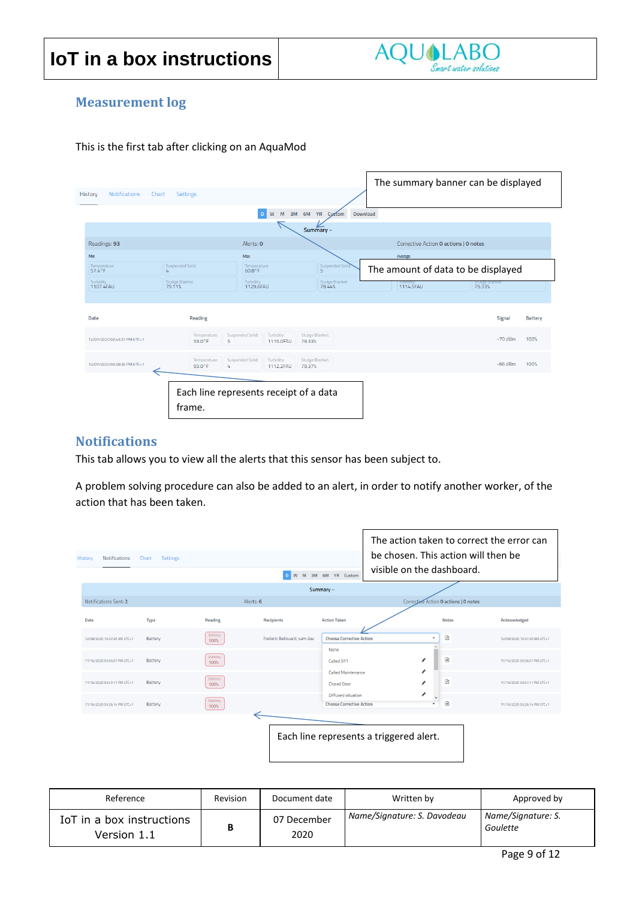

#### <span id="page-8-0"></span>**Measurement log**

This is the first tab after clicking on an AquaMod

|                                 |                             |                                             |                                   | The summary banner can be displayed   |                          |                |
|---------------------------------|-----------------------------|---------------------------------------------|-----------------------------------|---------------------------------------|--------------------------|----------------|
| History<br><b>Notifications</b> | <b>Settings</b><br>Chart    |                                             |                                   |                                       |                          |                |
|                                 |                             | ${\sf W}$<br>M<br>$\mathsf D$               | 3M 6M YR Custom                   | Download                              |                          |                |
|                                 |                             |                                             | Summary $\sim$                    |                                       |                          |                |
| Readings: 93                    |                             | Alerts: 0                                   |                                   | Corrective Action 0 actions   0 notes |                          |                |
| Min                             |                             | Max                                         |                                   | Average                               |                          |                |
| Temperature<br>57.4°F           | Suspended Solid<br>4        | Temperature<br>$60.8^{\circ}$ F             | Suspended Solic<br>$\overline{5}$ | The amount of data to be displayed    |                          |                |
| Turbidity<br>1107.4FAU          | Sludge Blanket<br>79.11%    | Turbidity<br>1129.6FAU                      | Sludge Blanket<br>79.44%          | turbiaity<br>1114.5FAU                | Siudge Bianket<br>79.33% |                |
|                                 |                             |                                             |                                   |                                       |                          |                |
| <b>Date</b>                     | Reading                     |                                             |                                   |                                       | Signal                   | <b>Battery</b> |
| 12/07/2020 02:43:27 PM UTC+1    | Temperature:<br>59.0°F<br>5 | Suspended Solid:<br>Turbidity:<br>1115.0FAU | Sludge Blanket:<br>79.33%         |                                       | $-70$ dBm                | 100%           |
| 12/07/2020 02:28:30 PM UTC+1    | Temperature:<br>59.0°F<br>4 | Suspended Solid:<br>Turbidity:<br>1112.2FAU | Sludge Blanket:<br>79.37%         |                                       | $-66$ dBm                | 100%           |
|                                 | frame.                      | Each line represents receipt of a data      |                                   |                                       |                          |                |

#### <span id="page-8-1"></span>**Notifications**

This tab allows you to view all the alerts that this sensor has been subject to.

A problem solving procedure can also be added to an alert, in order to notify another worker, of the action that has been taken.

| <b>Notifications</b><br>History | <b>Settings</b><br>Chart |                  | W<br>D.                     | M 3M 6M YR Custom                                            | The action taken to correct the error can<br>be chosen. This action will then be<br>visible on the dashboard. |                              |
|---------------------------------|--------------------------|------------------|-----------------------------|--------------------------------------------------------------|---------------------------------------------------------------------------------------------------------------|------------------------------|
|                                 |                          |                  |                             | Summary $\sim$                                               |                                                                                                               |                              |
| Notifications Sent: 2           |                          |                  | Alerts: 6                   |                                                              | Corrective Action 0 actions   0 notes                                                                         |                              |
| Date                            | Type                     | Reading          | <b>Recipients</b>           | <b>Action Taken</b>                                          | <b>Notes</b>                                                                                                  | Acknowledged                 |
| 12/08/2020 10:37:20 AM UTC+1    | Battery                  | Battery:<br>100% | frederic Bellouard, sam day | <b>Choose Corrective Action</b>                              | €<br>٠                                                                                                        | 12/08/2020 10:37:20 AM UTC+1 |
| 11/16/2020 03:56:07 PM UTC+1    | Battery                  | Battery:<br>100% |                             | None<br>Called 911                                           | B<br>◢                                                                                                        | 11/16/2020 03:56:07 PM UTC+1 |
| 11/16/2020 03:41:11 PM UTC+1    | Battery                  | Battery:<br>100% |                             | <b>Called Maintenance</b><br><b>Closed Door</b>              | ◢<br>€<br>i                                                                                                   | 11/16/2020 03:41:11 PM UTC+1 |
| 11/16/2020 03:26:14 PM UTC+1    | Battery                  | Battery:<br>100% |                             | <b>Diffused situation</b><br><b>Choose Corrective Action</b> | ◢<br>B<br>$\overline{\phantom{a}}$                                                                            | 11/16/2020 03:26:14 PM UTC+1 |
|                                 |                          |                  |                             | Each line represents a triggered alert.                      |                                                                                                               |                              |

| Reference                                | Revision | Document date       | Written by                  | Approved by                    |
|------------------------------------------|----------|---------------------|-----------------------------|--------------------------------|
| IoT in a box instructions<br>Version 1.1 | B        | 07 December<br>2020 | Name/Signature: S. Davodeau | Name/Signature: S.<br>Goulette |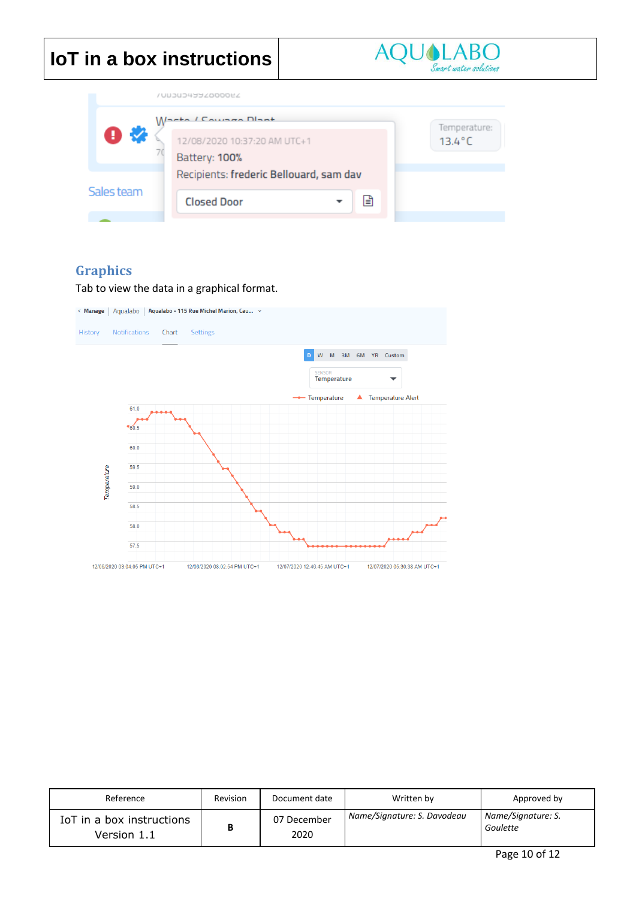|  |  | <b>IoT</b> in a box instructions |  |
|--|--|----------------------------------|--|
|  |  |                                  |  |



|            | VUUJUJ4YYZ0000EZ                        |                  |
|------------|-----------------------------------------|------------------|
|            | Waste / Counse Dlast                    | Temperature:     |
| Ð          | 12/08/2020 10:37:20 AM UTC+1            | $13.4^{\circ}$ C |
|            | Battery: 100%                           |                  |
|            | Recipients: frederic Bellouard, sam dav |                  |
| Sales team | <b>Closed Door</b><br>ا≣ا               |                  |
|            |                                         |                  |

#### <span id="page-9-0"></span>**Graphics**

Tab to view the data in a graphical format.



| Reference                                | Revision | Document date       | Written by                  | Approved by                    |
|------------------------------------------|----------|---------------------|-----------------------------|--------------------------------|
| IoT in a box instructions<br>Version 1.1 | В        | 07 December<br>2020 | Name/Signature: S. Davodeau | Name/Signature: S.<br>Goulette |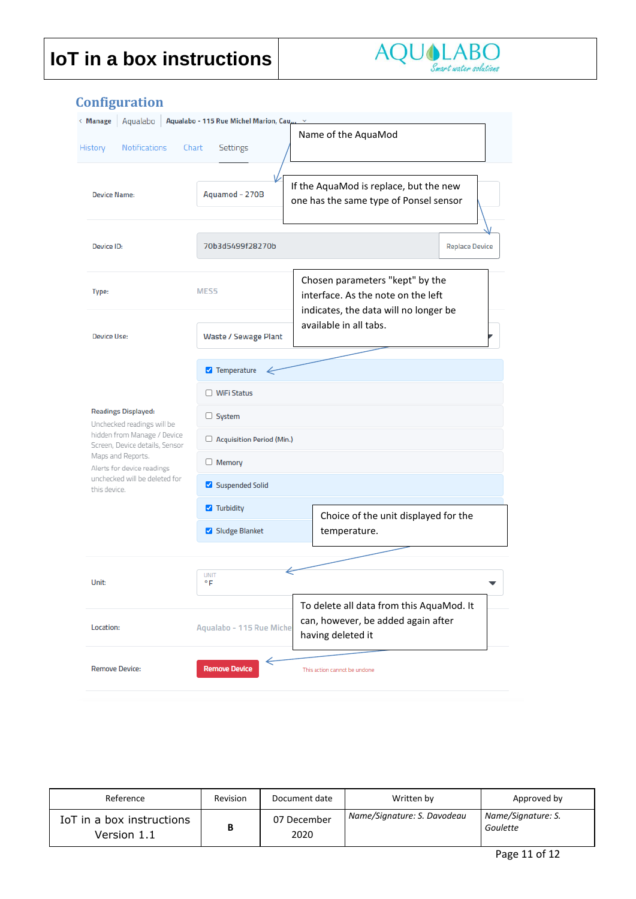

| Aqualabo<br>< Manage<br><b>Notifications</b><br>History       | Aqualabo - 115 Rue Michel Marion, Cau ><br>Settings<br>Chart | Name of the AquaMod                                                                                            |  |  |  |  |
|---------------------------------------------------------------|--------------------------------------------------------------|----------------------------------------------------------------------------------------------------------------|--|--|--|--|
| <b>Device Name:</b>                                           | Aquamod - 270B                                               | If the AquaMod is replace, but the new<br>one has the same type of Ponsel sensor                               |  |  |  |  |
| <b>Device ID:</b>                                             | 70b3d5499f28270b                                             | <b>Replace Device</b>                                                                                          |  |  |  |  |
| Type:                                                         | MES <sub>5</sub>                                             | Chosen parameters "kept" by the<br>interface. As the note on the left<br>indicates, the data will no longer be |  |  |  |  |
| <b>Device Use:</b>                                            | Waste / Sewage Plant                                         | available in all tabs.                                                                                         |  |  |  |  |
|                                                               | Temperature                                                  |                                                                                                                |  |  |  |  |
|                                                               | □ WiFi Status                                                |                                                                                                                |  |  |  |  |
| <b>Readings Displayed:</b><br>Unchecked readings will be      | $\Box$ System                                                |                                                                                                                |  |  |  |  |
| hidden from Manage / Device<br>Screen, Device details, Sensor | Acquisition Period (Min.)                                    |                                                                                                                |  |  |  |  |
| Maps and Reports.<br>Alerts for device readings               | $\Box$ Memory                                                |                                                                                                                |  |  |  |  |
| unchecked will be deleted for<br>this device.                 | Suspended Solid                                              |                                                                                                                |  |  |  |  |
|                                                               | $\blacksquare$ Turbidity                                     | Choice of the unit displayed for the                                                                           |  |  |  |  |
|                                                               | Sludge Blanket                                               | temperature.                                                                                                   |  |  |  |  |
|                                                               |                                                              |                                                                                                                |  |  |  |  |
| Unit:                                                         | <b>UNIT</b><br>۰F                                            |                                                                                                                |  |  |  |  |
| Location:                                                     | Aqualabo - 115 Rue Miche                                     | To delete all data from this AquaMod. It<br>can, however, be added again after<br>having deleted it            |  |  |  |  |
| Remove Device:                                                | ←<br><b>Remove Device</b>                                    | This action cannot be undone                                                                                   |  |  |  |  |

#### Reference **Revision Accument date** Reference **Revision** Document date **Revision** Written by Approved by IoT in a box instructions Version 1.1 **B** 07 December 2020 *Name/Signature: S. Davodeau Name/Signature: S. Goulette*

#### <span id="page-10-0"></span>**Configuration**